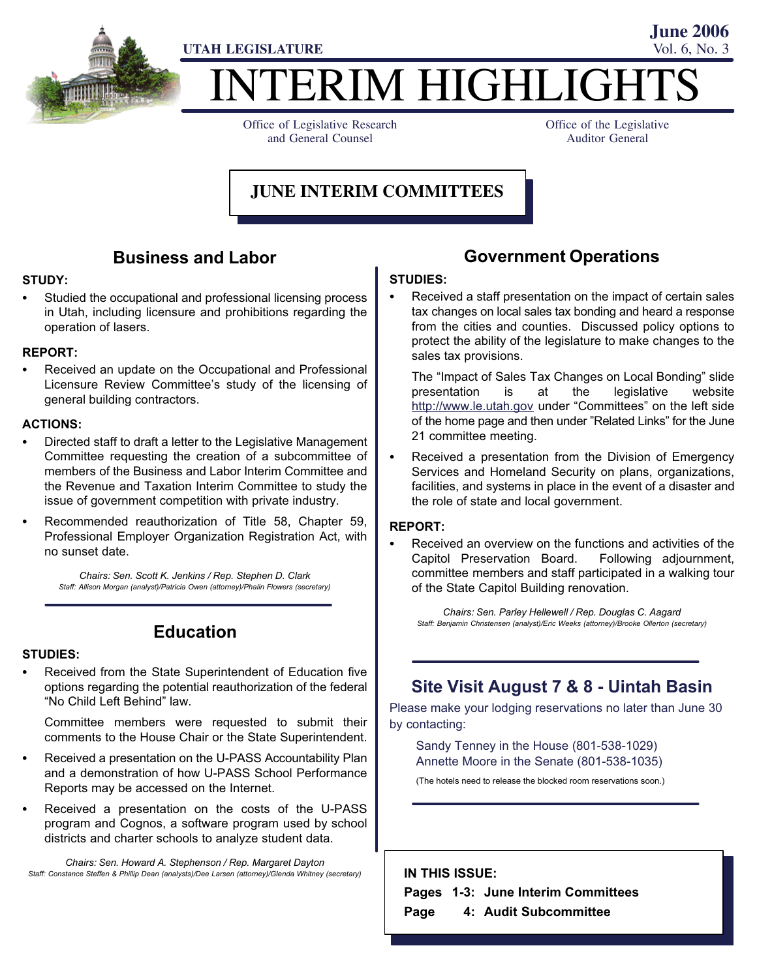

# TERIM HIGHLIGHT

Office of Legislative Research and General Counsel

Office of the Legislative Auditor General

**June 2006**

## **JUNE INTERIM COMMITTEES**

#### Business and Labor

## STUDY: -

 Studied the occupational and professional licensing process in Utah, including licensure and prohibitions regarding the operation of lasers.

## REPORT: -

 Received an update on the Occupational and Professional Licensure Review Committee's study of the licensing of general building contractors.

## ACTIONS:

- Directed staff to draft a letter to the Legislative Management Committee requesting the creation of a subcommittee of members of the Business and Labor Interim Committee and the Revenue and Taxation Interim Committee to study the issue of government competition with private industry.
- Recommended reauthorization of Title 58, Chapter 59, Professional Employer Organization Registration Act, with no sunset date.

Chairs: Sen. Scott K. Jenkins / Rep. Stephen D. Clark Staff: Allison Morgan (analyst)/Patricia Owen (attorney)/Phalin Flowers (secretary)

#### Education

## STUDIES:<br>-

 Received from the State Superintendent of Education five options regarding the potential reauthorization of the federal -No Child Left Behind" law.

Committee members were requested to submit their comments to the House Chair or the State Superintendent.

- Received a presentation on the U−PASS Accountability Plan and a demonstration of how U−PASS School Performance Reports may be accessed on the Internet.
- Received a presentation on the costs of the U−PASS program and Cognos, a software program used by school districts and charter schools to analyze student data.

Chairs: Sen. Howard A. Stephenson / Rep. Margaret Dayton Staff: Constance Steffen & Phillip Dean (analysts)/Dee Larsen (attorney)/Glenda Whitney (secretary)

#### Government Operations

## STUDIES:<br>-

 Received a staff presentation on the impact of certain sales tax changes on local sales tax bonding and heard a response from the cities and counties. Discussed policy options to protect the ability of the legislature to make changes to the sales tax provisions.

The "Impact of Sales Tax Changes on Local Bonding" slide presentation is at the legislative website <u>http://www.le.utah.gov</u>\_under "Committees" on the left side of the home page and then under "Related Links" for the June 21 committee meeting.

 Received a presentation from the Division of Emergency Services and Homeland Security on plans, organizations, facilities, and systems in place in the event of a disaster and the role of state and local government.

## REPORT: -

 Received an overview on the functions and activities of the Capitol Preservation Board. Following adjournment, committee members and staff participated in a walking tour of the State Capitol Building renovation.

Chairs: Sen. Parley Hellewell / Rep. Douglas C. Aagard Staff: Benjamin Christensen (analyst)/Eric Weeks (attorney)/Brooke Ollerton (secretary)

## Site Visit August 7 & 8 − Uintah Basin

Please make your lodging reservations no later than June 30 by contacting:

Sandy Tenney in the House (801−538−1029) Annette Moore in the Senate (801−538−1035)

(The hotels need to release the blocked room reservations soon.)

IN THIS ISSUE:

Pages 1−3: June Interim Committees Page 4: Audit Subcommittee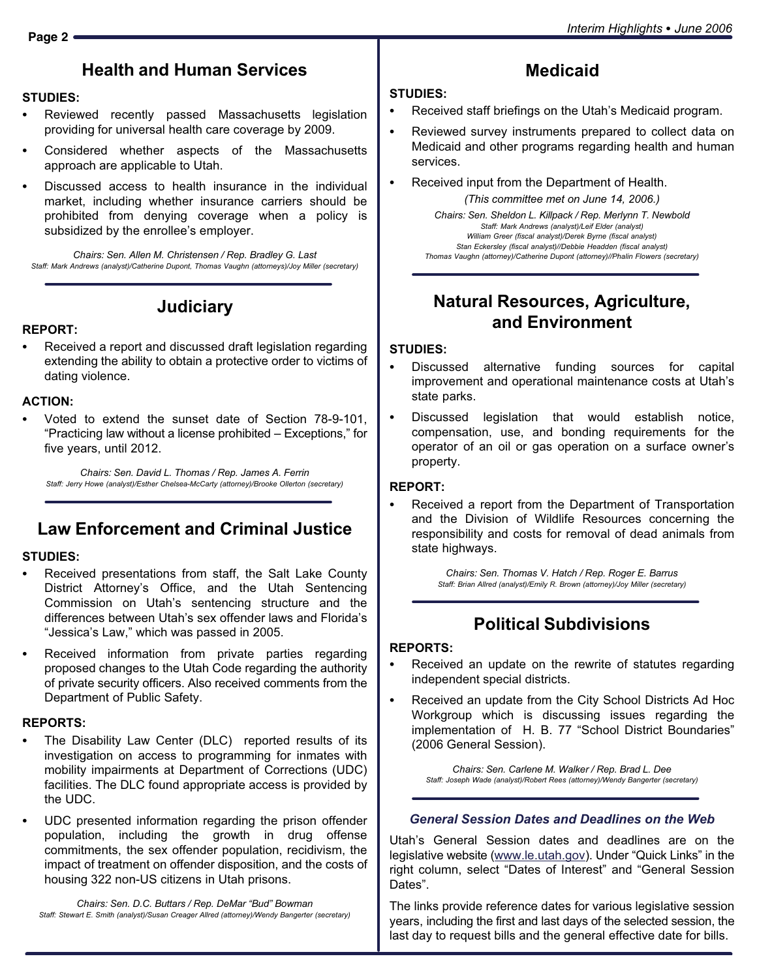#### Health and Human Services

## STUDIES:<br>-

- Reviewed recently passed Massachusetts legislation providing for universal health care coverage by 2009.
- Considered whether aspects of the Massachusetts approach are applicable to Utah.
- Discussed access to health insurance in the individual market, including whether insurance carriers should be prohibited from denying coverage when a policy is subsidized by the enrollee's employer.

Chairs: Sen. Allen M. Christensen / Rep. Bradley G. Last Staff: Mark Andrews (analyst)/Catherine Dupont, Thomas Vaughn (attorneys)/Joy Miller (secretary)

#### **Judiciary**

## REPORT:<br>-

 Received a report and discussed draft legislation regarding extending the ability to obtain a protective order to victims of dating violence.

## ACTION:

 Voted to extend the sunset date of Section 78−9−101, "Practicing law without a license prohibited – Exceptions," for five years, until 2012.

Chairs: Sen. David L. Thomas / Rep. James A. Ferrin Staff: Jerry Howe (analyst)/Esther Chelsea−McCarty (attorney)/Brooke Ollerton (secretary)

## Law Enforcement and Criminal Justice

## STUDIES: -

- Received presentations from staff, the Salt Lake County District Attorney's Office, and the Utah Sentencing Commission on Utah's sentencing structure and the differences between Utah's sex offender laws and Florida's -Jessica's Law," which was passed in 2005.
- Received information from private parties regarding proposed changes to the Utah Code regarding the authority of private security officers. Also received comments from the Department of Public Safety.

## REPORTS:<br>—

- The Disability Law Center (DLC) reported results of its investigation on access to programming for inmates with mobility impairments at Department of Corrections (UDC) facilities. The DLC found appropriate access is provided by the UDC.
- UDC presented information regarding the prison offender population, including the growth in drug offense commitments, the sex offender population, recidivism, the impact of treatment on offender disposition, and the costs of housing 322 non−US citizens in Utah prisons.

Chairs: Sen. D.C. Buttars / Rep. DeMar "Bud" Bowman Staff: Stewart E. Smith (analyst)/Susan Creager Allred (attorney)/Wendy Bangerter (secretary)

## Medicaid

# STUDIES: -

- Received staff briefings on the Utah's Medicaid program.
- Reviewed survey instruments prepared to collect data on Medicaid and other programs regarding health and human services.
- Received input from the Department of Health.

(This committee met on June 14, 2006.)

Chairs: Sen. Sheldon L. Killpack / Rep. Merlynn T. Newbold Staff: Mark Andrews (analyst)/Leif Elder (analyst) William Greer (fiscal analyst)/Derek Byrne (fiscal analyst) Stan Eckersley (fiscal analyst)//Debbie Headden (fiscal analyst) Thomas Vaughn (attorney)/Catherine Dupont (attorney)//Phalin Flowers (secretary)

#### Natural Resources, Agriculture, and Environment

## STUDIES:<br>--

- Discussed alternative funding sources for capital improvement and operational maintenance costs at Utah's state parks.
- Discussed legislation that would establish notice, compensation, use, and bonding requirements for the operator of an oil or gas operation on a surface owner's property.

#### REPORT:<br>-

 Received a report from the Department of Transportation and the Division of Wildlife Resources concerning the responsibility and costs for removal of dead animals from state highways.

> Chairs: Sen. Thomas V. Hatch / Rep. Roger E. Barrus Staff: Brian Allred (analyst)/Emily R. Brown (attorney)/Joy Miller (secretary)

## Political Subdivisions

## REPORTS:

- Received an update on the rewrite of statutes regarding independent special districts.
- Received an update from the City School Districts Ad Hoc Workgroup which is discussing issues regarding the implementation of H. B. 77 "School District Boundaries" (2006 General Session).

Chairs: Sen. Carlene M. Walker / Rep. Brad L. Dee Staff: Joseph Wade (analyst)/Robert Rees (attorney)/Wendy Bangerter (secretary)

#### General Session Dates and Deadlines on the Web

Utah's General Session dates and deadlines are on the legislative website (<u>www.le.utah.gov</u>). Under "Quick Links" in the right column, select "Dates of Interest" and "General Session Dates".

The links provide reference dates for various legislative session years, including the first and last days of the selected session, the last day to request bills and the general effective date for bills.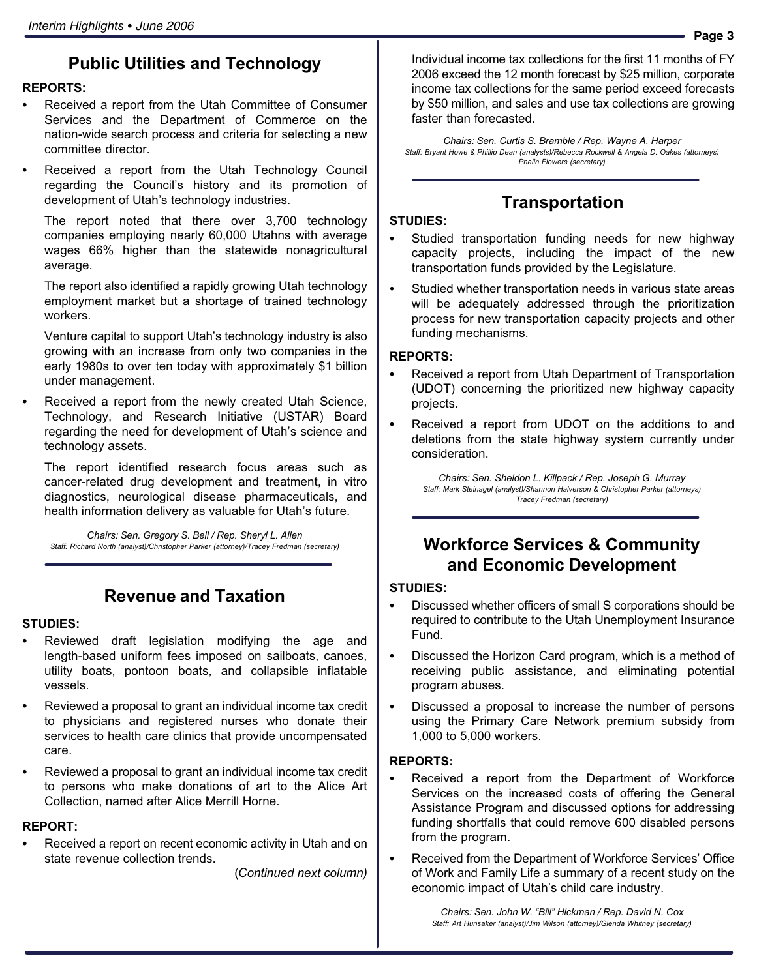## Public Utilities and Technology

## REPORTS:<br>—

- Received a report from the Utah Committee of Consumer Services and the Department of Commerce on the nation−wide search process and criteria for selecting a new committee director.
- Received a report from the Utah Technology Council regarding the Council's history and its promotion of development of Utah's technology industries.

The report noted that there over 3,700 technology companies employing nearly 60,000 Utahns with average wages 66% higher than the statewide nonagricultural average.

The report also identified a rapidly growing Utah technology employment market but a shortage of trained technology workers.

Venture capital to support Utah's technology industry is also growing with an increase from only two companies in the early 1980s to over ten today with approximately \$1 billion under management.

 Received a report from the newly created Utah Science, Technology, and Research Initiative (USTAR) Board regarding the need for development of Utah's science and technology assets.

The report identified research focus areas such as cancer−related drug development and treatment, in vitro diagnostics, neurological disease pharmaceuticals, and health information delivery as valuable for Utah's future.

Chairs: Sen. Gregory S. Bell / Rep. Sheryl L. Allen Staff: Richard North (analyst)/Christopher Parker (attorney)/Tracey Fredman (secretary)

## Revenue and Taxation

## STUDIES:<br>-

- Reviewed draft legislation modifying the age and length−based uniform fees imposed on sailboats, canoes, utility boats, pontoon boats, and collapsible inflatable vessels.
- Reviewed a proposal to grant an individual income tax credit to physicians and registered nurses who donate their services to health care clinics that provide uncompensated care.
- Reviewed a proposal to grant an individual income tax credit to persons who make donations of art to the Alice Art Collection, named after Alice Merrill Horne.

## REPORT:<br>-

 Received a report on recent economic activity in Utah and on state revenue collection trends.

(Continued next column)

Individual income tax collections for the first 11 months of FY 2006 exceed the 12 month forecast by \$25 million, corporate income tax collections for the same period exceed forecasts by \$50 million, and sales and use tax collections are growing faster than forecasted.

Chairs: Sen. Curtis S. Bramble / Rep. Wayne A. Harper Staff: Bryant Howe & Phillip Dean (analysts)/Rebecca Rockwell & Angela D. Oakes (attorneys) Phalin Flowers (secretary)

#### **Transportation**

## STUDIES: -

- Studied transportation funding needs for new highway capacity projects, including the impact of the new transportation funds provided by the Legislature.
- Studied whether transportation needs in various state areas will be adequately addressed through the prioritization process for new transportation capacity projects and other funding mechanisms.

## REPORTS: -

- Received a report from Utah Department of Transportation (UDOT) concerning the prioritized new highway capacity projects.
- Received a report from UDOT on the additions to and deletions from the state highway system currently under consideration.

Chairs: Sen. Sheldon L. Killpack / Rep. Joseph G. Murray Staff: Mark Steinagel (analyst)/Shannon Halverson & Christopher Parker (attorneys) Tracey Fredman (secretary)

#### Workforce Services & Community and Economic Development

## STUDIES:<br>--

- Discussed whether officers of small S corporations should be required to contribute to the Utah Unemployment Insurance Fund.
- Discussed the Horizon Card program, which is a method of receiving public assistance, and eliminating potential program abuses.
- Discussed a proposal to increase the number of persons using the Primary Care Network premium subsidy from 1,000 to 5,000 workers.

## REPORTS:<br>—

- Received a report from the Department of Workforce Services on the increased costs of offering the General Assistance Program and discussed options for addressing funding shortfalls that could remove 600 disabled persons from the program.
- Received from the Department of Workforce Services' Office of Work and Family Life a summary of a recent study on the economic impact of Utah's child care industry.